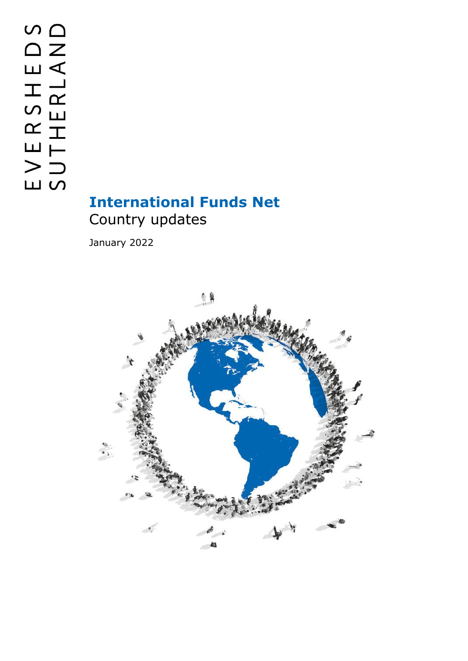## **International Funds Net** Country updates

January 2022

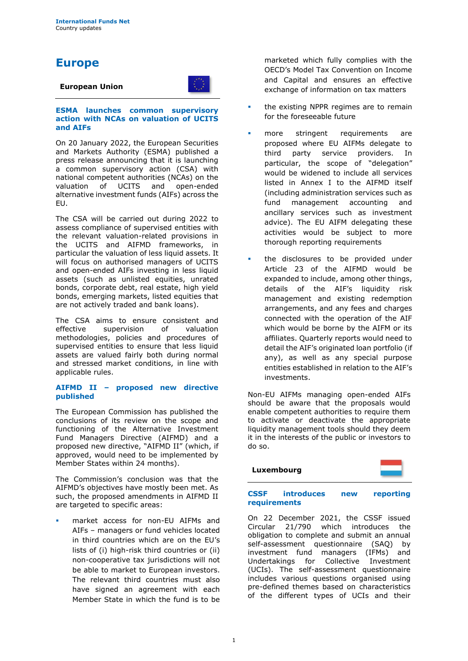### **Europe**

### **European Union**



#### **ESMA launches common supervisory action with NCAs on valuation of UCITS and AIFs**

On 20 January 2022, the European Securities and Markets Authority (ESMA) published a press release announcing that it is launching a common supervisory action (CSA) with national competent authorities (NCAs) on the valuation of UCITS and open-ended alternative investment funds (AIFs) across the EU.

The CSA will be carried out during 2022 to assess compliance of supervised entities with the relevant valuation-related provisions in the UCITS and AIFMD frameworks, in particular the valuation of less liquid assets. It will focus on authorised managers of UCITS and open-ended AIFs investing in less liquid assets (such as unlisted equities, unrated bonds, corporate debt, real estate, high yield bonds, emerging markets, listed equities that are not actively traded and bank loans).

The CSA aims to ensure consistent and effective supervision of valuation methodologies, policies and procedures of supervised entities to ensure that less liquid assets are valued fairly both during normal and stressed market conditions, in line with applicable rules.

#### **AIFMD II – proposed new directive published**

The European Commission has published the conclusions of its review on the scope and functioning of the Alternative Investment Fund Managers Directive (AIFMD) and a proposed new directive, "AIFMD II" (which, if approved, would need to be implemented by Member States within 24 months).

The Commission's conclusion was that the AIFMD's objectives have mostly been met. As such, the proposed amendments in AIFMD II are targeted to specific areas:

market access for non-EU AIFMs and AIFs – managers or fund vehicles located in third countries which are on the EU's lists of (i) high-risk third countries or (ii) non-cooperative tax jurisdictions will not be able to market to European investors. The relevant third countries must also have signed an agreement with each Member State in which the fund is to be

marketed which fully complies with the OECD's Model Tax Convention on Income and Capital and ensures an effective exchange of information on tax matters

- the existing NPPR regimes are to remain for the foreseeable future
- more stringent requirements are proposed where EU AIFMs delegate to third party service providers. In particular, the scope of "delegation" would be widened to include all services listed in Annex I to the AIFMD itself (including administration services such as fund management accounting and ancillary services such as investment advice). The EU AIFM delegating these activities would be subject to more thorough reporting requirements
- the disclosures to be provided under Article 23 of the AIFMD would be expanded to include, among other things, details of the AIF's liquidity risk management and existing redemption arrangements, and any fees and charges connected with the operation of the AIF which would be borne by the AIFM or its affiliates. Quarterly reports would need to detail the AIF's originated loan portfolio (if any), as well as any special purpose entities established in relation to the AIF's investments.

Non-EU AIFMs managing open-ended AIFs should be aware that the proposals would enable competent authorities to require them to activate or deactivate the appropriate liquidity management tools should they deem it in the interests of the public or investors to do so.

# **Luxembourg**

### **CSSF introduces new reporting requirements**

On 22 December 2021, the CSSF issued Circular 21/790 which introduces the obligation to complete and submit an annual self-assessment questionnaire (SAQ) by investment fund managers (IFMs) and Undertakings for Collective Investment (UCIs). The self-assessment questionnaire includes various questions organised using pre-defined themes based on characteristics of the different types of UCIs and their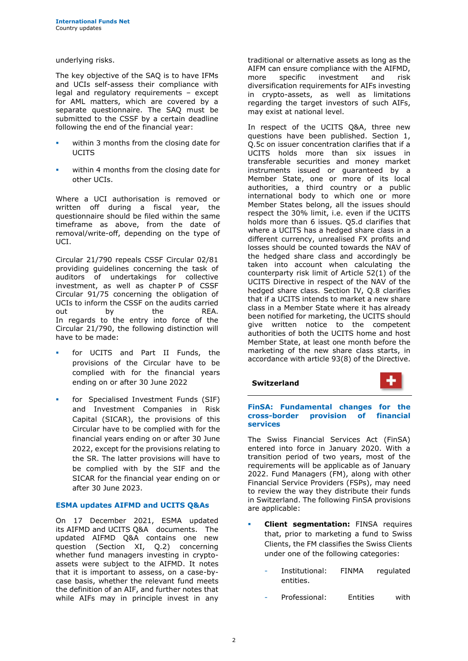underlying risks.

The key objective of the SAQ is to have IFMs and UCIs self-assess their compliance with legal and regulatory requirements – except for AML matters, which are covered by a separate questionnaire. The SAQ must be submitted to the CSSF by a certain deadline following the end of the financial year:

- within 3 months from the closing date for **UCITS**
- within 4 months from the closing date for other UCIs.

Where a UCI authorisation is removed or written off during a fiscal year, the questionnaire should be filed within the same timeframe as above, from the date of removal/write-off, depending on the type of UCI.

Circular 21/790 repeals CSSF Circular 02/81 providing guidelines concerning the task of auditors of undertakings for collective investment, as well as chapter P of CSSF Circular 91/75 concerning the obligation of UCIs to inform the CSSF on the audits carried out by the REA. In regards to the entry into force of the Circular 21/790, the following distinction will have to be made:

- for UCITS and Part II Funds, the provisions of the Circular have to be complied with for the financial years ending on or after 30 June 2022
- for Specialised Investment Funds (SIF) and Investment Companies in Risk Capital (SICAR), the provisions of this Circular have to be complied with for the financial years ending on or after 30 June 2022, except for the provisions relating to the SR. The latter provisions will have to be complied with by the SIF and the SICAR for the financial year ending on or after 30 June 2023.

### **ESMA updates AIFMD and UCITS Q&As**

On 17 December 2021, ESMA updated its AIFMD and UCITS Q&A documents. The updated AIFMD Q&A contains one new question (Section XI, Q.2) concerning whether fund managers investing in cryptoassets were subject to the AIFMD. It notes that it is important to assess, on a case-bycase basis, whether the relevant fund meets the definition of an AIF, and further notes that while AIFs may in principle invest in any traditional or alternative assets as long as the AIFM can ensure compliance with the AIFMD,<br>more specific investment and risk more specific investment and diversification requirements for AIFs investing in crypto-assets, as well as limitations regarding the target investors of such AIFs, may exist at national level.

In respect of the UCITS Q&A, three new questions have been published. Section 1, Q.5c on issuer concentration clarifies that if a UCITS holds more than six issues in transferable securities and money market instruments issued or guaranteed by a Member State, one or more of its local authorities, a third country or a public international body to which one or more Member States belong, all the issues should respect the 30% limit, i.e. even if the UCITS holds more than 6 issues. Q5.d clarifies that where a UCITS has a hedged share class in a different currency, unrealised FX profits and losses should be counted towards the NAV of the hedged share class and accordingly be taken into account when calculating the counterparty risk limit of Article 52(1) of the UCITS Directive in respect of the NAV of the hedged share class. Section IV, Q.8 clarifies that if a UCITS intends to market a new share class in a Member State where it has already been notified for marketing, the UCITS should give written notice to the competent authorities of both the UCITS home and host Member State, at least one month before the marketing of the new share class starts, in accordance with article 93(8) of the Directive.

**Switzerland**



### **FinSA: Fundamental changes for the cross-border provision of financial services**

The Swiss Financial Services Act (FinSA) entered into force in January 2020. With a transition period of two years, most of the requirements will be applicable as of January 2022. Fund Managers (FM), along with other Financial Service Providers (FSPs), may need to review the way they distribute their funds in Switzerland. The following FinSA provisions are applicable:

- **Client segmentation:** FINSA requires that, prior to marketing a fund to Swiss Clients, the FM classifies the Swiss Clients under one of the following categories:
	- Institutional: FINMA regulated entities.
	- Professional: Entities with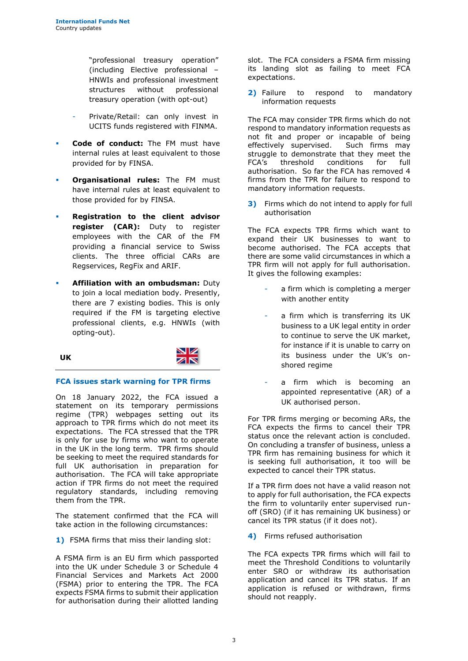"professional treasury operation" (including Elective professional – HNWIs and professional investment structures without professional treasury operation (with opt-out)

- Private/Retail: can only invest in UCITS funds registered with FINMA.
- **Code of conduct:** The FM must have internal rules at least equivalent to those provided for by FINSA.
- **Organisational rules:** The FM must have internal rules at least equivalent to those provided for by FINSA.
- **Registration to the client advisor register (CAR):** Duty to register employees with the CAR of the FM providing a financial service to Swiss clients. The three official CARs are Regservices, RegFix and ARIF.
- **Affiliation with an ombudsman: Duty** to join a local mediation body. Presently, there are 7 existing bodies. This is only required if the FM is targeting elective professional clients, e.g. HNWIs (with opting-out).

$$
\mathcal{L} = \mathcal{L} \mathcal{L}
$$

**UK**

### **FCA issues stark warning for TPR firms**

On 18 January 2022, the FCA issued a statement on its temporary permissions regime (TPR) webpages setting out its approach to TPR firms which do not meet its expectations. The FCA stressed that the TPR is only for use by firms who want to operate in the UK in the long term. TPR firms should be seeking to meet the required standards for full UK authorisation in preparation for authorisation. The FCA will take appropriate action if TPR firms do not meet the required regulatory standards, including removing them from the TPR.

The statement confirmed that the FCA will take action in the following circumstances:

**1)** FSMA firms that miss their landing slot:

A FSMA firm is an EU firm which passported into the UK under Schedule 3 or Schedule 4 Financial Services and Markets Act 2000 (FSMA) prior to entering the TPR. The FCA expects FSMA firms to submit their application for authorisation during their allotted landing slot. The FCA considers a FSMA firm missing its landing slot as failing to meet FCA expectations.

**2)** Failure to respond to mandatory information requests

The FCA may consider TPR firms which do not respond to mandatory information requests as not fit and proper or incapable of being effectively supervised. Such firms may struggle to demonstrate that they meet the FCA's threshold conditions for full authorisation. So far the FCA has removed 4 firms from the TPR for failure to respond to mandatory information requests.

**3)** Firms which do not intend to apply for full authorisation

The FCA expects TPR firms which want to expand their UK businesses to want to become authorised. The FCA accepts that there are some valid circumstances in which a TPR firm will not apply for full authorisation. It gives the following examples:

- a firm which is completing a merger with another entity
- a firm which is transferring its UK business to a UK legal entity in order to continue to serve the UK market, for instance if it is unable to carry on its business under the UK's onshored regime
- a firm which is becoming an appointed representative (AR) of a UK authorised person.

For TPR firms merging or becoming ARs, the FCA expects the firms to cancel their TPR status once the relevant action is concluded. On concluding a transfer of business, unless a TPR firm has remaining business for which it is seeking full authorisation, it too will be expected to cancel their TPR status.

If a TPR firm does not have a valid reason not to apply for full authorisation, the FCA expects the firm to voluntarily enter supervised runoff (SRO) (if it has remaining UK business) or cancel its TPR status (if it does not).

**4)** Firms refused authorisation

The FCA expects TPR firms which will fail to meet the Threshold Conditions to voluntarily enter SRO or withdraw its authorisation application and cancel its TPR status. If an application is refused or withdrawn, firms should not reapply.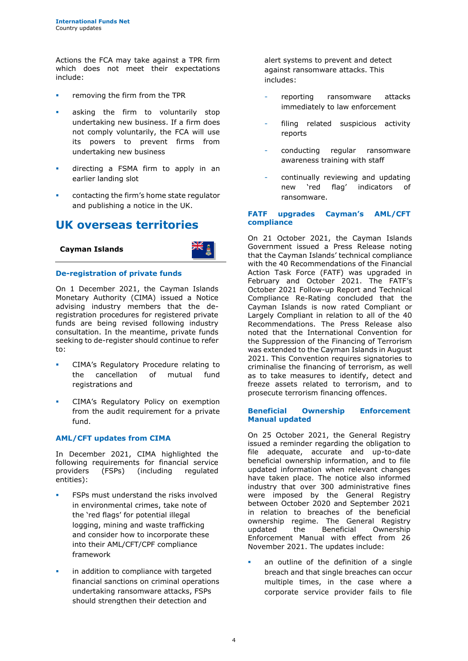Actions the FCA may take against a TPR firm which does not meet their expectations include:

- removing the firm from the TPR
- asking the firm to voluntarily stop undertaking new business. If a firm does not comply voluntarily, the FCA will use its powers to prevent firms from undertaking new business
- **·** directing a FSMA firm to apply in an earlier landing slot
- contacting the firm's home state regulator and publishing a notice in the UK.

### **UK overseas territories**



### **De-registration of private funds**

**Cayman Islands**

On 1 December 2021, the Cayman Islands Monetary Authority (CIMA) issued a Notice advising industry members that the deregistration procedures for registered private funds are being revised following industry consultation. In the meantime, private funds seeking to de-register should continue to refer to:

- CIMA's Regulatory Procedure relating to the cancellation of mutual fund registrations and
- CIMA's Regulatory Policy on exemption from the audit requirement for a private fund.

### **AML/CFT updates from CIMA**

In December 2021, CIMA highlighted the following requirements for financial service providers (FSPs) (including regulated entities):

- **FSPs must understand the risks involved** in environmental crimes, take note of the 'red flags' for potential illegal logging, mining and waste trafficking and consider how to incorporate these into their AML/CFT/CPF compliance framework
- in addition to compliance with targeted financial sanctions on criminal operations undertaking ransomware attacks, FSPs should strengthen their detection and

alert systems to prevent and detect against ransomware attacks. This includes:

- reporting ransomware attacks immediately to law enforcement
- filing related suspicious activity reports
- conducting regular ransomware awareness training with staff
- continually reviewing and updating new 'red flag' indicators of ransomware.

### **FATF upgrades Cayman's AML/CFT compliance**

On 21 October 2021, the Cayman Islands Government issued a Press Release noting that the Cayman Islands' technical compliance with the 40 Recommendations of the Financial Action Task Force (FATF) was upgraded in February and October 2021. The FATF's October 2021 Follow-up Report and Technical Compliance Re-Rating concluded that the Cayman Islands is now rated Compliant or Largely Compliant in relation to all of the 40 Recommendations. The Press Release also noted that the International Convention for the Suppression of the Financing of Terrorism was extended to the Cayman Islands in August 2021. This Convention requires signatories to criminalise the financing of terrorism, as well as to take measures to identify, detect and freeze assets related to terrorism, and to prosecute terrorism financing offences.

#### **Beneficial Ownership Enforcement Manual updated**

On 25 October 2021, the General Registry issued a reminder regarding the obligation to file adequate, accurate and up-to-date beneficial ownership information, and to file updated information when relevant changes have taken place. The notice also informed industry that over 300 administrative fines were imposed by the General Registry between October 2020 and September 2021 in relation to breaches of the beneficial ownership regime. The General Registry<br>updated the Beneficial Ownership the Beneficial Ownership Enforcement Manual with effect from 26 November 2021. The updates include:

an outline of the definition of a single breach and that single breaches can occur multiple times, in the case where a corporate service provider fails to file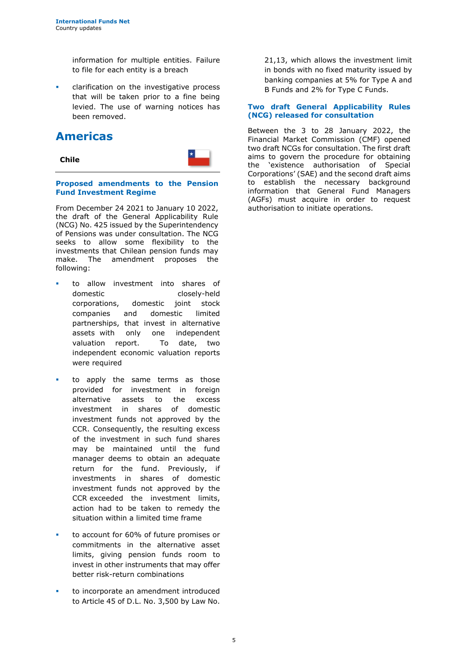information for multiple entities. Failure to file for each entity is a breach

clarification on the investigative process that will be taken prior to a fine being levied. The use of warning notices has been removed.

### **Americas**



**Proposed amendments to the Pension Fund Investment Regime** 

From December 24 2021 to January 10 2022, the draft of the General Applicability Rule (NCG) No. 425 issued by the Superintendency of Pensions was under consultation. The NCG seeks to allow some flexibility to the investments that Chilean pension funds may make. The amendment proposes the following:

- to allow investment into shares of domestic closely-held corporations, domestic joint stock companies and domestic limited partnerships, that invest in alternative assets with only one independent valuation report. To date, two independent economic valuation reports were required
- to apply the same terms as those provided for investment in foreign alternative assets to the excess investment in shares of domestic investment funds not approved by the CCR. Consequently, the resulting excess of the investment in such fund shares may be maintained until the fund manager deems to obtain an adequate return for the fund. Previously, if investments in shares of domestic investment funds not approved by the CCR exceeded the investment limits, action had to be taken to remedy the situation within a limited time frame
- to account for 60% of future promises or commitments in the alternative asset limits, giving pension funds room to invest in other instruments that may offer better risk-return combinations
- to incorporate an amendment introduced to Article 45 of D.L. No. 3,500 by Law No.

21,13, which allows the investment limit in bonds with no fixed maturity issued by banking companies at 5% for Type A and B Funds and 2% for Type C Funds.

### **Two draft General Applicability Rules (NCG) released for consultation**

Between the 3 to 28 January 2022, the Financial Market Commission (CMF) opened two draft NCGs for consultation. The first draft aims to govern the procedure for obtaining the 'existence authorisation of Special Corporations' (SAE) and the second draft aims to establish the necessary background information that General Fund Managers (AGFs) must acquire in order to request authorisation to initiate operations.